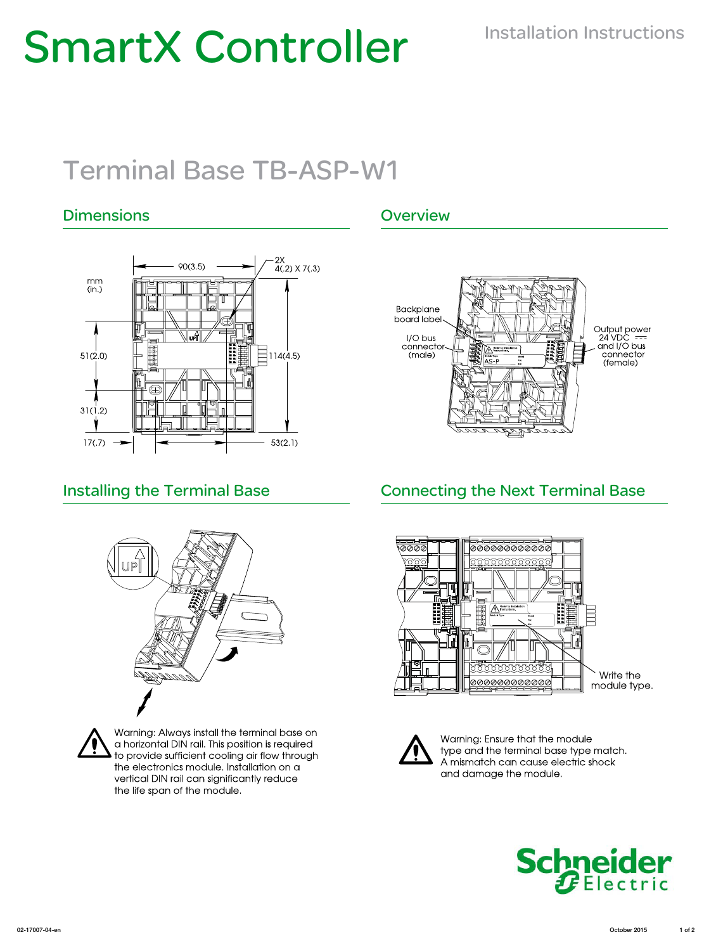# **SmartX Controller** Installation Instructions

# Terminal Base TB-ASP-W1

# Dimensions **Overview**









Warning: Always install the terminal base on a horizontal DIN rail. This position is required to provide sufficient cooling air flow through the electronics module. Installation on a vertical DIN rail can significantly reduce the life span of the module.

# Installing the Terminal Base **Connecting the Next Terminal Base**





Warning: Ensure that the module type and the terminal base type match. A mismatch can cause electric shock and damage the module.